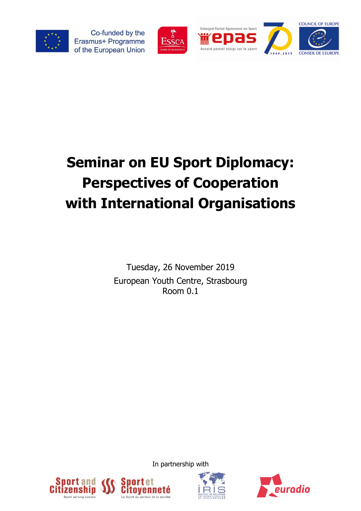

Co-funded by the Erasmus+ Programme of the European Union







## **Seminar on EU Sport Diplomacy: Perspectives of Cooperation with International Organisations**

Tuesday, 26 November 2019 European Youth Centre, Strasbourg Room 0.1

In partnership with

ervice de la société





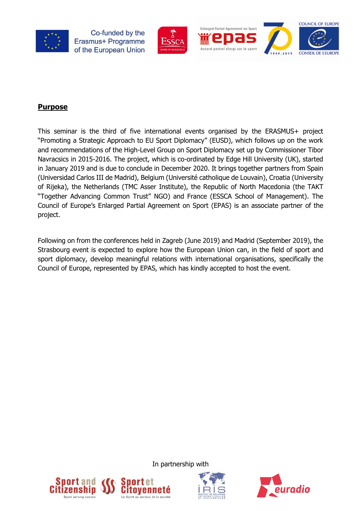

Co-funded by the Erasmus+ Programme of the European Union





## **Purpose**

This seminar is the third of five international events organised by the ERASMUS+ project "Promoting a Strategic Approach to EU Sport Diplomacy" (EUSD), which follows up on the work and recommendations of the High-Level Group on Sport Diplomacy set up by Commissioner Tibor Navracsics in 2015-2016. The project, which is co-ordinated by Edge Hill University (UK), started in January 2019 and is due to conclude in December 2020. It brings together partners from Spain (Universidad Carlos III de Madrid), Belgium (Université catholique de Louvain), Croatia (University of Rijeka), the Netherlands (TMC Asser Institute), the Republic of North Macedonia (the TAKT "Together Advancing Common Trust" NGO) and France (ESSCA School of Management). The Council of Europe's [Enlarged Partial Agreement on Sport](https://www.coe.int/en/web/sport/epas/) (EPAS) is an associate partner of the project.

Following on from the conferences held in Zagreb (June 2019) and Madrid (September 2019), the Strasbourg event is expected to explore how the European Union can, in the field of sport and sport diplomacy, develop meaningful relations with international organisations, specifically the Council of Europe, represented by EPAS, which has kindly accepted to host the event.



irvice de la société